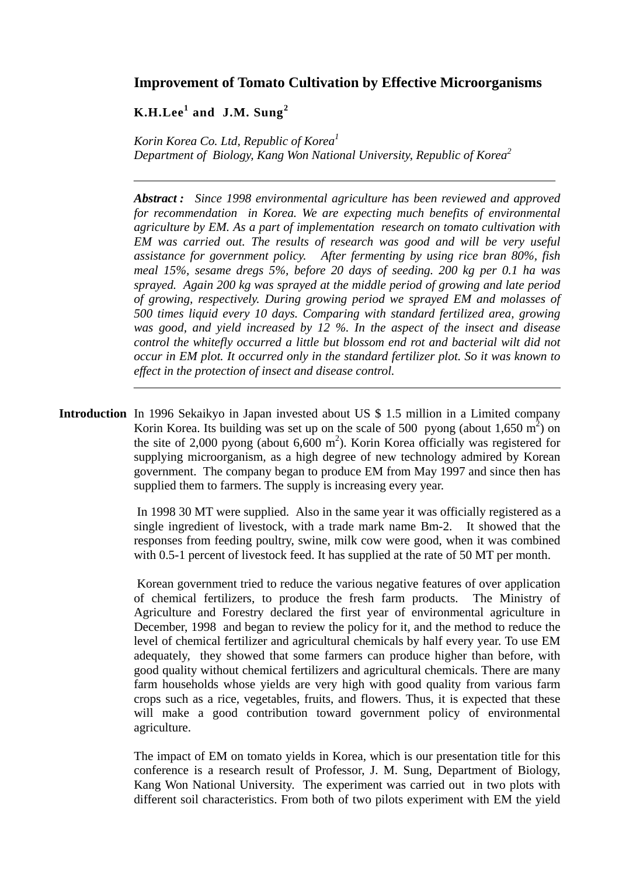## **Improvement of Tomato Cultivation by Effective Microorganisms**

## **K.H.Lee<sup>1</sup> and J.M. Sung<sup>2</sup>**

*Korin Korea Co. Ltd, Republic of Korea 1 Department of Biology, Kang Won National University, Republic of Korea 2*

*Abstract : Since 1998 environmental agriculture has been reviewed and approved for recommendation in Korea. We are expecting much benefits of environmental agriculture by EM. As a part of implementation research on tomato cultivation with EM was carried out. The results of research was good and will be very useful assistance for government policy. After fermenting by using rice bran 80%, fish meal 15%, sesame dregs 5%, before 20 days of seeding. 200 kg per 0.1 ha was sprayed. Again 200 kg was sprayed at the middle period of growing and late period of growing, respectively. During growing period we sprayed EM and molasses of 500 times liquid every 10 days. Comparing with standard fertilized area, growing was good, and yield increased by 12 %. In the aspect of the insect and disease control the whitefly occurred a little but blossom end rot and bacterial wilt did not occur in EM plot. It occurred only in the standard fertilizer plot. So it was known to effect in the protection of insect and disease control.* 

**Introduction** In 1996 Sekaikyo in Japan invested about US \$ 1.5 million in a Limited company Korin Korea. Its building was set up on the scale of 500 pyong (about 1,650 m<sup>2</sup>) on the site of 2,000 pyong (about  $6,600 \text{ m}^2$ ). Korin Korea officially was registered for supplying microorganism, as a high degree of new technology admired by Korean government. The company began to produce EM from May 1997 and since then has supplied them to farmers. The supply is increasing every year.

> In 1998 30 MT were supplied. Also in the same year it was officially registered as a single ingredient of livestock, with a trade mark name Bm-2. It showed that the responses from feeding poultry, swine, milk cow were good, when it was combined with 0.5-1 percent of livestock feed. It has supplied at the rate of 50 MT per month.

> Korean government tried to reduce the various negative features of over application of chemical fertilizers, to produce the fresh farm products. The Ministry of Agriculture and Forestry declared the first year of environmental agriculture in December, 1998 and began to review the policy for it, and the method to reduce the level of chemical fertilizer and agricultural chemicals by half every year. To use EM adequately, they showed that some farmers can produce higher than before, with good quality without chemical fertilizers and agricultural chemicals. There are many farm households whose yields are very high with good quality from various farm crops such as a rice, vegetables, fruits, and flowers. Thus, it is expected that these will make a good contribution toward government policy of environmental agriculture.

> The impact of EM on tomato yields in Korea, which is our presentation title for this conference is a research result of Professor, J. M. Sung, Department of Biology, Kang Won National University. The experiment was carried out in two plots with different soil characteristics. From both of two pilots experiment with EM the yield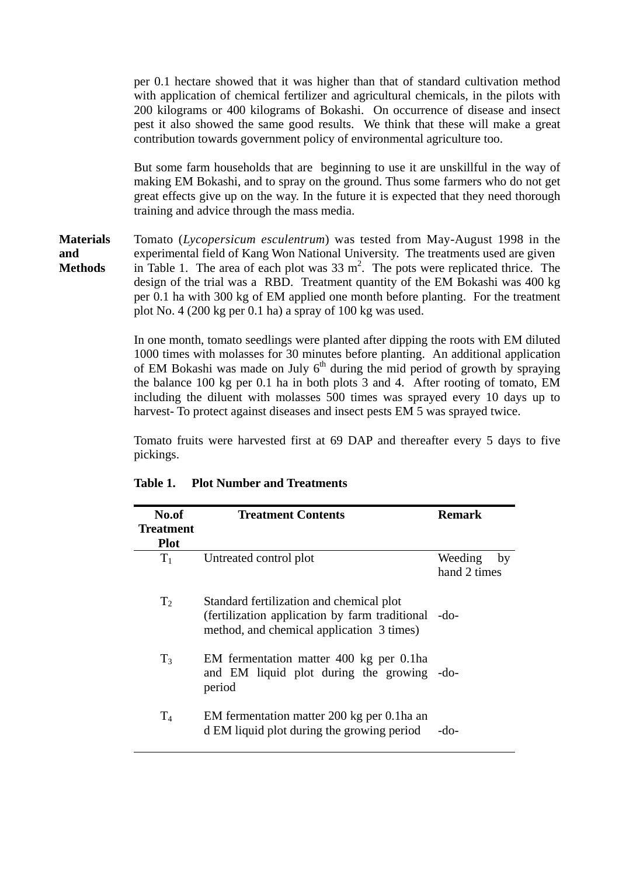per 0.1 hectare showed that it was higher than that of standard cultivation method with application of chemical fertilizer and agricultural chemicals, in the pilots with 200 kilograms or 400 kilograms of Bokashi. On occurrence of disease and insect pest it also showed the same good results. We think that these will make a great contribution towards government policy of environmental agriculture too.

But some farm households that are beginning to use it are unskillful in the way of making EM Bokashi, and to spray on the ground. Thus some farmers who do not get great effects give up on the way. In the future it is expected that they need thorough training and advice through the mass media.

**Materials** Tomato (*Lycopersicum esculentrum*) was tested from May-August 1998 in the **and** experimental field of Kang Won National University. The treatments used are given **Methods** in Table 1. The area of each plot was  $33 \text{ m}^2$ . The pots were replicated thrice. The design of the trial was a RBD. Treatment quantity of the EM Bokashi was 400 kg per 0.1 ha with 300 kg of EM applied one month before planting. For the treatment plot No. 4 (200 kg per 0.1 ha) a spray of 100 kg was used.

> In one month, tomato seedlings were planted after dipping the roots with EM diluted 1000 times with molasses for 30 minutes before planting. An additional application of EM Bokashi was made on July  $6<sup>th</sup>$  during the mid period of growth by spraying the balance 100 kg per 0.1 ha in both plots 3 and 4. After rooting of tomato, EM including the diluent with molasses 500 times was sprayed every 10 days up to harvest- To protect against diseases and insect pests EM 5 was sprayed twice.

> Tomato fruits were harvested first at 69 DAP and thereafter every 5 days to five pickings.

| No.of<br><b>Treatment</b><br><b>Plot</b> | <b>Treatment Contents</b>                                                                                                                    | <b>Remark</b>                 |
|------------------------------------------|----------------------------------------------------------------------------------------------------------------------------------------------|-------------------------------|
| $T_1$                                    | Untreated control plot                                                                                                                       | Weeding<br>by<br>hand 2 times |
| $T_2$                                    | Standard fertilization and chemical plot<br>(fertilization application by farm traditional -do-<br>method, and chemical application 3 times) |                               |
| $T_3$                                    | EM fermentation matter 400 kg per 0.1ha<br>and EM liquid plot during the growing -do-<br>period                                              |                               |
| $T_4$                                    | EM fermentation matter 200 kg per 0.1ha an<br>d EM liquid plot during the growing period                                                     | -do-                          |

## **Table 1. Plot Number and Treatments**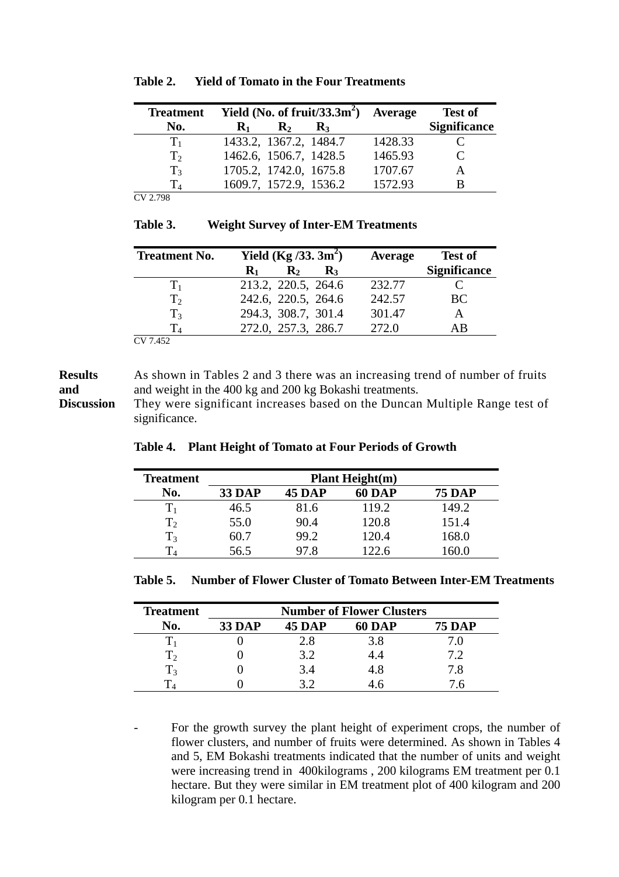| <b>Treatment</b> |                |                        | Yield (No. of fruit/33.3 $m2$ ) | <b>Average</b> | <b>Test of</b>      |
|------------------|----------------|------------------------|---------------------------------|----------------|---------------------|
| No.              | $\mathbf{R}_1$ | $\mathbf{R}_{2}$       | $\mathbf{R}_3$                  |                | <b>Significance</b> |
| $T_{1}$          |                | 1433.2, 1367.2, 1484.7 |                                 | 1428.33        |                     |
| T <sub>2</sub>   |                | 1462.6, 1506.7, 1428.5 |                                 | 1465.93        |                     |
| T <sub>3</sub>   |                | 1705.2, 1742.0, 1675.8 |                                 | 1707.67        |                     |
| $\rm T_{4}$      |                | 1609.7, 1572.9, 1536.2 |                                 | 1572.93        |                     |
| CV 2.798         |                |                        |                                 |                |                     |

| Table 2. |  | <b>Yield of Tomato in the Four Treatments</b> |
|----------|--|-----------------------------------------------|
|          |  |                                               |

| પ |
|---|
|   |
|   |

**Table 3. Weight Survey of Inter-EM Treatments** 

| <b>Treatment No.</b> | Yield $(Kg / 33.3m^2)$                               | Average | <b>Test of</b>      |
|----------------------|------------------------------------------------------|---------|---------------------|
|                      | $\mathbf{R}_{2}$<br>$\mathbf{R}_3$<br>$\mathbf{R}_1$ |         | <b>Significance</b> |
| $T_{1}$              | 213.2, 220.5, 264.6                                  | 232.77  |                     |
| T <sub>2</sub>       | 242.6, 220.5, 264.6                                  | 242.57  | BC.                 |
| $T_3$                | 294.3, 308.7, 301.4                                  | 301.47  |                     |
|                      | 272.0, 257.3, 286.7                                  | 272.0   | ΑR                  |
| V 7452               |                                                      |         |                     |

CV 7.452

## **Results** As shown in Tables 2 and 3 there was an increasing trend of number of fruits **and** and weight in the 400 kg and 200 kg Bokashi treatments.

**Discussion** They were significant increases based on the Duncan Multiple Range test of significance.

| <b>Treatment</b> | <b>Plant Height(m)</b> |               |               |               |
|------------------|------------------------|---------------|---------------|---------------|
| No.              | <b>33 DAP</b>          | <b>45 DAP</b> | <b>60 DAP</b> | <b>75 DAP</b> |
|                  | 46.5                   | 81.6          | 119.2         | 149.2         |
| $T_2$            | 55.0                   | 90.4          | 120.8         | 151.4         |
| $T_3$            | 60.7                   | 99.2          | 120.4         | 168.0         |
|                  | 56.5                   | 97.8          | 122.6         | 160.0         |

**Table 4. Plant Height of Tomato at Four Periods of Growth** 

| Table 5. Number of Flower Cluster of Tomato Between Inter-EM Treatments |
|-------------------------------------------------------------------------|
|-------------------------------------------------------------------------|

| <b>Treatment</b> | <b>Number of Flower Clusters</b> |               |               |               |
|------------------|----------------------------------|---------------|---------------|---------------|
| No.              | <b>33 DAP</b>                    | <b>45 DAP</b> | <b>60 DAP</b> | <b>75 DAP</b> |
|                  |                                  | 2.8           | 3.8           |               |
| $\rm T_2$        |                                  | 3.2           |               |               |
| $\rm T_3$        |                                  | 3.4           | 4.8           | 7.8           |
|                  |                                  |               |               |               |

For the growth survey the plant height of experiment crops, the number of flower clusters, and number of fruits were determined. As shown in Tables 4 and 5, EM Bokashi treatments indicated that the number of units and weight were increasing trend in 400kilograms , 200 kilograms EM treatment per 0.1 hectare. But they were similar in EM treatment plot of 400 kilogram and 200 kilogram per 0.1 hectare.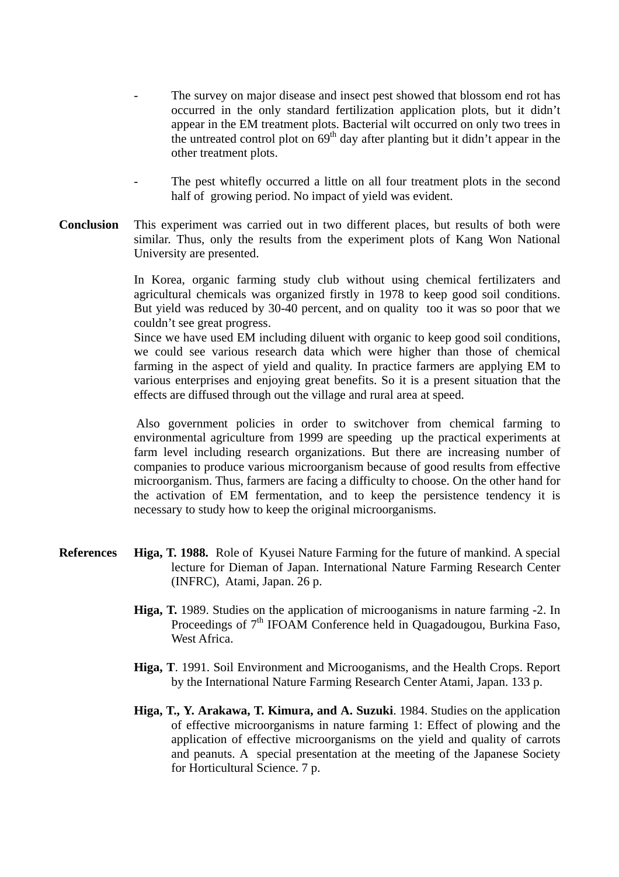- The survey on major disease and insect pest showed that blossom end rot has occurred in the only standard fertilization application plots, but it didn't appear in the EM treatment plots. Bacterial wilt occurred on only two trees in the untreated control plot on  $69<sup>th</sup>$  day after planting but it didn't appear in the other treatment plots.
- The pest whitefly occurred a little on all four treatment plots in the second half of growing period. No impact of yield was evident.
- **Conclusion** This experiment was carried out in two different places, but results of both were similar. Thus, only the results from the experiment plots of Kang Won National University are presented.

In Korea, organic farming study club without using chemical fertilizaters and agricultural chemicals was organized firstly in 1978 to keep good soil conditions. But yield was reduced by 30-40 percent, and on quality too it was so poor that we couldn't see great progress.

Since we have used EM including diluent with organic to keep good soil conditions, we could see various research data which were higher than those of chemical farming in the aspect of yield and quality. In practice farmers are applying EM to various enterprises and enjoying great benefits. So it is a present situation that the effects are diffused through out the village and rural area at speed.

Also government policies in order to switchover from chemical farming to environmental agriculture from 1999 are speeding up the practical experiments at farm level including research organizations. But there are increasing number of companies to produce various microorganism because of good results from effective microorganism. Thus, farmers are facing a difficulty to choose. On the other hand for the activation of EM fermentation, and to keep the persistence tendency it is necessary to study how to keep the original microorganisms.

- **References Higa, T. 1988.** Role of Kyusei Nature Farming for the future of mankind. A special lecture for Dieman of Japan. International Nature Farming Research Center (INFRC), Atami, Japan. 26 p.
	- **Higa, T.** 1989. Studies on the application of microoganisms in nature farming -2. In Proceedings of  $7<sup>th</sup>$  IFOAM Conference held in Quagadougou, Burkina Faso, West Africa.
	- **Higa, T**. 1991. Soil Environment and Microoganisms, and the Health Crops. Report by the International Nature Farming Research Center Atami, Japan. 133 p.
	- **Higa, T., Y. Arakawa, T. Kimura, and A. Suzuki**. 1984. Studies on the application of effective microorganisms in nature farming 1: Effect of plowing and the application of effective microorganisms on the yield and quality of carrots and peanuts. A special presentation at the meeting of the Japanese Society for Horticultural Science. 7 p.